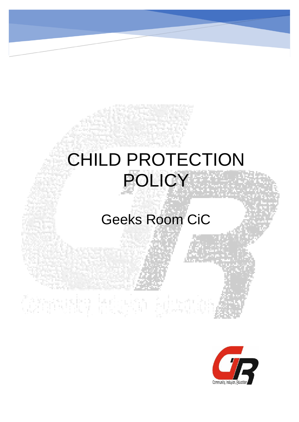# CHILD PROTECTION POLICY

# Geeks Room CiC

Community industrial Extent



į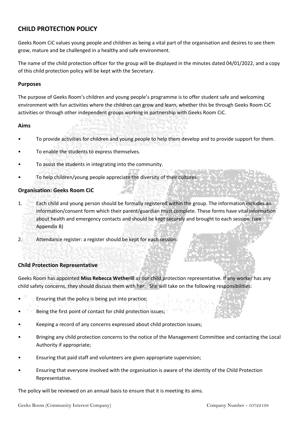# **CHILD PROTECTION POLICY**

Geeks Room CiC values young people and children as being a vital part of the organisation and desires to see them grow, mature and be challenged in a healthy and safe environment.

The name of the child protection officer for the group will be displayed in the minutes dated 04/01/2022, and a copy of this child protection policy will be kept with the Secretary.

### **Purposes**

The purpose of Geeks Room's children and young people's programme is to offer student safe and welcoming environment with fun activities where the children can grow and learn, whether this be through Geeks Room CiC activities or through other independent groups working in partnership with Geeks Room CiC.

### **Aims**

- To provide activities for children and young people to help them develop and to provide support for them.
- To enable the students to express themselves.
- To assist the students in integrating into the community.
- To help children/young people appreciate the diversity of their cultures.

# **Organisation: Geeks Room CiC**

- 1. Each child and young person should be formally registered within the group. The information includes an information/consent form which their parent/guardian must complete. These forms have vital information about health and emergency contacts and should be kept securely and brought to each session. (see Appendix B)
- 2. Attendance register: a register should be kept for each session.

# **Child Protection Representative**

Geeks Room has appointed **Miss Rebecca Wetherill** as our child protection representative. If any worker has any child safety concerns, they should discuss them with her. She will take on the following responsibilities:

- Ensuring that the policy is being put into practice;
- Being the first point of contact for child protection issues;
- Keeping a record of any concerns expressed about child protection issues;
- Bringing any child protection concerns to the notice of the Management Committee and contacting the Local Authority if appropriate;
- Ensuring that paid staff and volunteers are given appropriate supervision;
- Ensuring that everyone involved with the organisation is aware of the identity of the Child Protection Representative.

The policy will be reviewed on an annual basis to ensure that it is meeting its aims.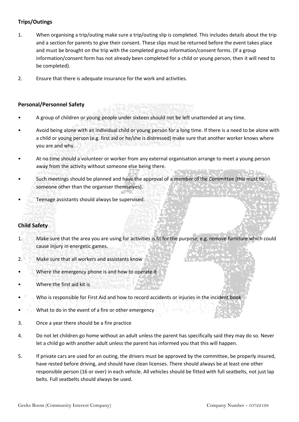# **Trips/Outings**

- 1. When organising a trip/outing make sure a trip/outing slip is completed. This includes details about the trip and a section for parents to give their consent. These slips must be returned before the event takes place and must be brought on the trip with the completed group information/consent forms. (If a group information/consent form has not already been completed for a child or young person, then it will need to be completed).
- 2. Ensure that there is adequate insurance for the work and activities.

# **Personal/Personnel Safety**

- A group of children or young people under sixteen should not be left unattended at any time.
- Avoid being alone with an individual child or young person for a long time. If there is a need to be alone with a child or young person (e.g. first aid or he/she is distressed) make sure that another worker knows where you are and why.
- At no time should a volunteer or worker from any external organisation arrange to meet a young person away from the activity without someone else being there.
- Such meetings should be planned and have the approval of a member of the Committee (this must be someone other than the organiser themselves).
- Teenage assistants should always be supervised.

# **Child Safety**

- 1. Make sure that the area you are using for activities is fit for the purpose, e.g. remove furniture which could cause injury in energetic games.
- 2. Make sure that all workers and assistants know
- Where the emergency phone is and how to operate it
- Where the first aid kit is
- Who is responsible for First Aid and how to record accidents or injuries in the incident book
- What to do in the event of a fire or other emergency
- 3. Once a year there should be a fire practice
- 4. Do not let children go home without an adult unless the parent has specifically said they may do so. Never let a child go with another adult unless the parent has informed you that this will happen.
- 5. If private cars are used for an outing, the drivers must be approved by the committee, be properly insured, have rested before driving, and should have clean licenses. There should always be at least one other responsible person (16 or over) in each vehicle. All vehicles should be fitted with full seatbelts, not just lap belts. Full seatbelts should always be used.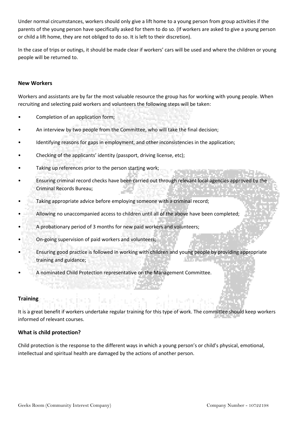Under normal circumstances, workers should only give a lift home to a young person from group activities if the parents of the young person have specifically asked for them to do so. (If workers are asked to give a young person or child a lift home, they are not obliged to do so. It is left to their discretion).

In the case of trips or outings, it should be made clear if workers' cars will be used and where the children or young people will be returned to.

# **New Workers**

Workers and assistants are by far the most valuable resource the group has for working with young people. When recruiting and selecting paid workers and volunteers the following steps will be taken:

- Completion of an application form;
- An interview by two people from the Committee, who will take the final decision;
- Identifying reasons for gaps in employment, and other inconsistencies in the application;
- Checking of the applicants' identity (passport, driving license, etc);
- Taking up references prior to the person starting work;
- Ensuring criminal record checks have been carried out through relevant local agencies approved by the Criminal Records Bureau;
- Taking appropriate advice before employing someone with a criminal record;
- Allowing no unaccompanied access to children until all of the above have been completed;
- A probationary period of 3 months for new paid workers and volunteers;
- On-going supervision of paid workers and volunteers;
- Ensuring good practice is followed in working with children and young people by providing appropriate training and guidance;
- A nominated Child Protection representative on the Management Committee.

# **Training**

It is a great benefit if workers undertake regular training for this type of work. The committee should keep workers informed of relevant courses.

# **What is child protection?**

Child protection is the response to the different ways in which a young person's or child's physical, emotional, intellectual and spiritual health are damaged by the actions of another person.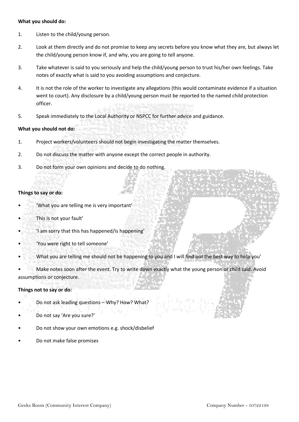#### **What you should do:**

- 1. Listen to the child/young person.
- 2. Look at them directly and do not promise to keep any secrets before you know what they are, but always let the child/young person know if, and why, you are going to tell anyone.
- 3. Take whatever is said to you seriously and help the child/young person to trust his/her own feelings. Take notes of exactly what is said to you avoiding assumptions and conjecture.
- 4. It is not the role of the worker to investigate any allegations (this would contaminate evidence if a situation went to court). Any disclosure by a child/young person must be reported to the named child protection officer.
- 5. Speak immediately to the Local Authority or NSPCC for further advice and guidance.

# **What you should not do:**

- 1. Project workers/volunteers should not begin investigating the matter themselves.
- 2. Do not discuss the matter with anyone except the correct people in authority.
- 3. Do not form your own opinions and decide to do nothing.

# **Things to say or do:**

- 'What you are telling me is very important'
- This is not your fault'
- 'I am sorry that this has happened/is happening'
- 'You were right to tell someone'
- What you are telling me should not be happening to you and I will find out the best way to help you'

• Make notes soon after the event. Try to write down exactly what the young person or child said. Avoid assumptions or conjecture.

#### **Things not to say or do:**

- Do not ask leading questions Why? How? What?
- Do not say 'Are you sure?'
- Do not show your own emotions e.g. shock/disbelief
- Do not make false promises